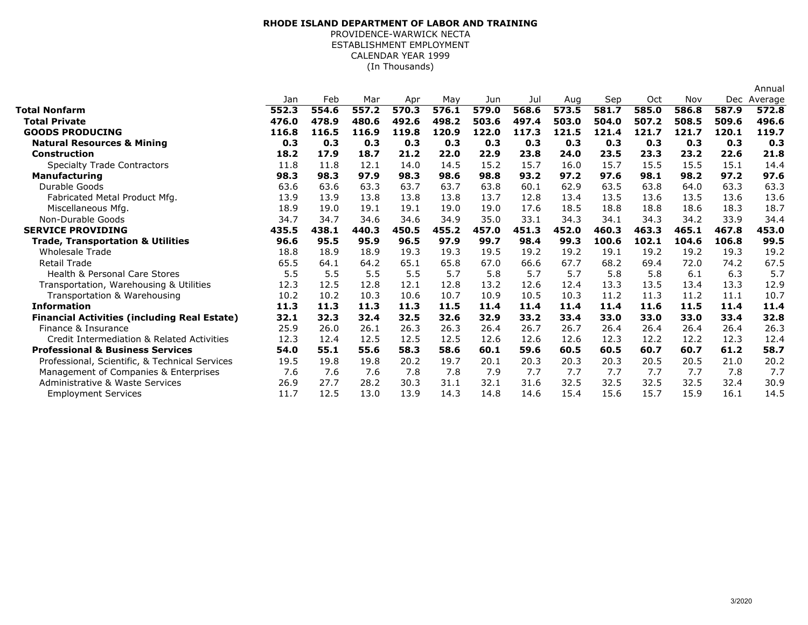## (In Thousands)**RHODE ISLAND DEPARTMENT OF LABOR AND TRAINING**PROVIDENCE-WARWICK NECTA ESTABLISHMENT EMPLOYMENTCALENDAR YEAR 1999

|                                                     |       |       |       |       |       |       |       |       |       |       |       |       | Annual  |
|-----------------------------------------------------|-------|-------|-------|-------|-------|-------|-------|-------|-------|-------|-------|-------|---------|
|                                                     | Jan   | Feb   | Mar   | Apr   | May   | Jun   | Jul   | Aug   | Sep   | Oct   | Nov   | Dec   | Average |
| <b>Total Nonfarm</b>                                | 552.3 | 554.6 | 557.2 | 570.3 | 576.1 | 579.0 | 568.6 | 573.5 | 581.7 | 585.0 | 586.8 | 587.9 | 572.8   |
| <b>Total Private</b>                                | 476.0 | 478.9 | 480.6 | 492.6 | 498.2 | 503.6 | 497.4 | 503.0 | 504.0 | 507.2 | 508.5 | 509.6 | 496.6   |
| <b>GOODS PRODUCING</b>                              | 116.8 | 116.5 | 116.9 | 119.8 | 120.9 | 122.0 | 117.3 | 121.5 | 121.4 | 121.7 | 121.7 | 120.1 | 119.7   |
| <b>Natural Resources &amp; Mining</b>               | 0.3   | 0.3   | 0.3   | 0.3   | 0.3   | 0.3   | 0.3   | 0.3   | 0.3   | 0.3   | 0.3   | 0.3   | 0.3     |
| <b>Construction</b>                                 | 18.2  | 17.9  | 18.7  | 21.2  | 22.0  | 22.9  | 23.8  | 24.0  | 23.5  | 23.3  | 23.2  | 22.6  | 21.8    |
| <b>Specialty Trade Contractors</b>                  | 11.8  | 11.8  | 12.1  | 14.0  | 14.5  | 15.2  | 15.7  | 16.0  | 15.7  | 15.5  | 15.5  | 15.1  | 14.4    |
| <b>Manufacturing</b>                                | 98.3  | 98.3  | 97.9  | 98.3  | 98.6  | 98.8  | 93.2  | 97.2  | 97.6  | 98.1  | 98.2  | 97.2  | 97.6    |
| Durable Goods                                       | 63.6  | 63.6  | 63.3  | 63.7  | 63.7  | 63.8  | 60.1  | 62.9  | 63.5  | 63.8  | 64.0  | 63.3  | 63.3    |
| Fabricated Metal Product Mfg.                       | 13.9  | 13.9  | 13.8  | 13.8  | 13.8  | 13.7  | 12.8  | 13.4  | 13.5  | 13.6  | 13.5  | 13.6  | 13.6    |
| Miscellaneous Mfg.                                  | 18.9  | 19.0  | 19.1  | 19.1  | 19.0  | 19.0  | 17.6  | 18.5  | 18.8  | 18.8  | 18.6  | 18.3  | 18.7    |
| Non-Durable Goods                                   | 34.7  | 34.7  | 34.6  | 34.6  | 34.9  | 35.0  | 33.1  | 34.3  | 34.1  | 34.3  | 34.2  | 33.9  | 34.4    |
| <b>SERVICE PROVIDING</b>                            | 435.5 | 438.1 | 440.3 | 450.5 | 455.2 | 457.0 | 451.3 | 452.0 | 460.3 | 463.3 | 465.1 | 467.8 | 453.0   |
| <b>Trade, Transportation &amp; Utilities</b>        | 96.6  | 95.5  | 95.9  | 96.5  | 97.9  | 99.7  | 98.4  | 99.3  | 100.6 | 102.1 | 104.6 | 106.8 | 99.5    |
| <b>Wholesale Trade</b>                              | 18.8  | 18.9  | 18.9  | 19.3  | 19.3  | 19.5  | 19.2  | 19.2  | 19.1  | 19.2  | 19.2  | 19.3  | 19.2    |
| <b>Retail Trade</b>                                 | 65.5  | 64.1  | 64.2  | 65.1  | 65.8  | 67.0  | 66.6  | 67.7  | 68.2  | 69.4  | 72.0  | 74.2  | 67.5    |
| Health & Personal Care Stores                       | 5.5   | 5.5   | 5.5   | 5.5   | 5.7   | 5.8   | 5.7   | 5.7   | 5.8   | 5.8   | 6.1   | 6.3   | 5.7     |
| Transportation, Warehousing & Utilities             | 12.3  | 12.5  | 12.8  | 12.1  | 12.8  | 13.2  | 12.6  | 12.4  | 13.3  | 13.5  | 13.4  | 13.3  | 12.9    |
| Transportation & Warehousing                        | 10.2  | 10.2  | 10.3  | 10.6  | 10.7  | 10.9  | 10.5  | 10.3  | 11.2  | 11.3  | 11.2  | 11.1  | 10.7    |
| <b>Information</b>                                  | 11.3  | 11.3  | 11.3  | 11.3  | 11.5  | 11.4  | 11.4  | 11.4  | 11.4  | 11.6  | 11.5  | 11.4  | 11.4    |
| <b>Financial Activities (including Real Estate)</b> | 32.1  | 32.3  | 32.4  | 32.5  | 32.6  | 32.9  | 33.2  | 33.4  | 33.0  | 33.0  | 33.0  | 33.4  | 32.8    |
| Finance & Insurance                                 | 25.9  | 26.0  | 26.1  | 26.3  | 26.3  | 26.4  | 26.7  | 26.7  | 26.4  | 26.4  | 26.4  | 26.4  | 26.3    |
| Credit Intermediation & Related Activities          | 12.3  | 12.4  | 12.5  | 12.5  | 12.5  | 12.6  | 12.6  | 12.6  | 12.3  | 12.2  | 12.2  | 12.3  | 12.4    |
| <b>Professional &amp; Business Services</b>         | 54.0  | 55.1  | 55.6  | 58.3  | 58.6  | 60.1  | 59.6  | 60.5  | 60.5  | 60.7  | 60.7  | 61.2  | 58.7    |
| Professional, Scientific, & Technical Services      | 19.5  | 19.8  | 19.8  | 20.2  | 19.7  | 20.1  | 20.3  | 20.3  | 20.3  | 20.5  | 20.5  | 21.0  | 20.2    |
| Management of Companies & Enterprises               | 7.6   | 7.6   | 7.6   | 7.8   | 7.8   | 7.9   | 7.7   | 7.7   | 7.7   | 7.7   | 7.7   | 7.8   | 7.7     |
| <b>Administrative &amp; Waste Services</b>          | 26.9  | 27.7  | 28.2  | 30.3  | 31.1  | 32.1  | 31.6  | 32.5  | 32.5  | 32.5  | 32.5  | 32.4  | 30.9    |
| <b>Employment Services</b>                          | 11.7  | 12.5  | 13.0  | 13.9  | 14.3  | 14.8  | 14.6  | 15.4  | 15.6  | 15.7  | 15.9  | 16.1  | 14.5    |
|                                                     |       |       |       |       |       |       |       |       |       |       |       |       |         |